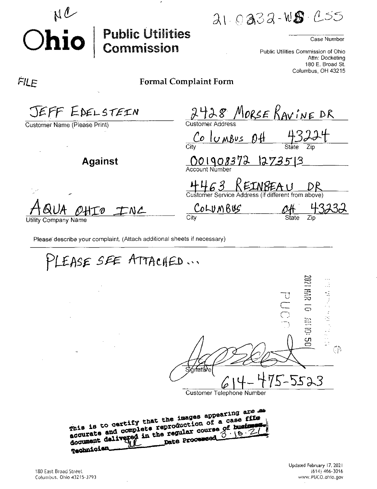ai oasa-wg

## Case Number

Public Utilities Commission of Ohio Attn; Docketing 180 E. Broad St. Columbus, OH 43215

## FILE

**Ohio**

NC

## Formal Complaint Form

**Public Utilities<br>Commission** 

| JEFF EDELSTEIN                     | 428 MORSE KAVINE DR                                                     |
|------------------------------------|-------------------------------------------------------------------------|
| Customer Name (Please Print)       | <b>Customer Address</b><br>Columbus<br>n H                              |
| <b>Against</b>                     | City<br>State<br>Zip<br>001908372<br>1273513<br>Account Number          |
|                                    | KEINBEAU<br>4463<br>Customer Service Address (if different from above)  |
| INL<br>HTO<br>Utility Company Name | $C$ <sub>o</sub> $L$ <sub>V</sub> $M$ $B$ u $S$<br>City<br>Zip<br>State |
|                                    |                                                                         |

Please describe your complaint. (Attach additional sheets if necessary)

PLEASE SEE ATTACHED ... CS : 01 NE 0 1 NE 20 2011年1月18日 €₿  $5 - 5523$ Customer Telephone Number mis is to certify that the images appearing are as<br>This is to certify that the images appearing are filed This is to certify that the images appearing and the reproduction of a case files This is to certify that the duction of a case is<br>accurate and complete reproduction of a case is<br>document delivered in the regular course 3 18 Technicien